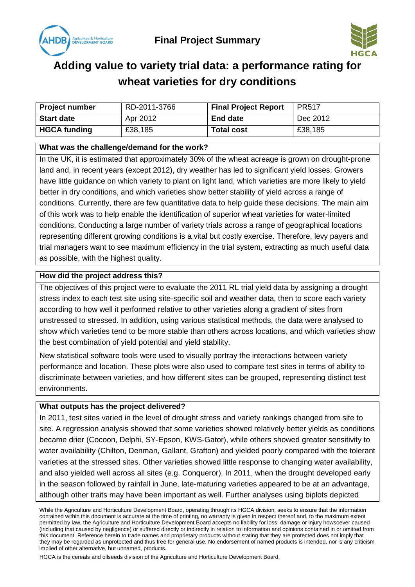



# **Adding value to variety trial data: a performance rating for wheat varieties for dry conditions**

| <b>Project number</b> | RD-2011-3766 | <b>Final Project Report</b> | <b>PR517</b> |
|-----------------------|--------------|-----------------------------|--------------|
| <b>Start date</b>     | Apr 2012     | <b>End date</b>             | Dec 2012     |
| <b>HGCA funding</b>   | £38,185      | <b>Total cost</b>           | £38,185      |

### **What was the challenge/demand for the work?**

In the UK, it is estimated that approximately 30% of the wheat acreage is grown on drought-prone land and, in recent years (except 2012), dry weather has led to significant yield losses. Growers have little guidance on which variety to plant on light land, which varieties are more likely to yield better in dry conditions, and which varieties show better stability of yield across a range of conditions. Currently, there are few quantitative data to help guide these decisions. The main aim of this work was to help enable the identification of superior wheat varieties for water-limited conditions. Conducting a large number of variety trials across a range of geographical locations representing different growing conditions is a vital but costly exercise. Therefore, levy payers and trial managers want to see maximum efficiency in the trial system, extracting as much useful data as possible, with the highest quality.

#### **How did the project address this?**

The objectives of this project were to evaluate the 2011 RL trial yield data by assigning a drought stress index to each test site using site-specific soil and weather data, then to score each variety according to how well it performed relative to other varieties along a gradient of sites from unstressed to stressed. In addition, using various statistical methods, the data were analysed to show which varieties tend to be more stable than others across locations, and which varieties show the best combination of yield potential and yield stability.

New statistical software tools were used to visually portray the interactions between variety performance and location. These plots were also used to compare test sites in terms of ability to discriminate between varieties, and how different sites can be grouped, representing distinct test environments.

# **What outputs has the project delivered?**

In 2011, test sites varied in the level of drought stress and variety rankings changed from site to site. A regression analysis showed that some varieties showed relatively better yields as conditions became drier (Cocoon, Delphi, SY-Epson, KWS-Gator), while others showed greater sensitivity to water availability (Chilton, Denman, Gallant, Grafton) and yielded poorly compared with the tolerant varieties at the stressed sites. Other varieties showed little response to changing water availability, and also yielded well across all sites (e.g. Conqueror). In 2011, when the drought developed early in the season followed by rainfall in June, late-maturing varieties appeared to be at an advantage, although other traits may have been important as well. Further analyses using biplots depicted

HGCA is the cereals and oilseeds division of the Agriculture and Horticulture Development Board.

While the Agriculture and Horticulture Development Board, operating through its HGCA division, seeks to ensure that the information contained within this document is accurate at the time of printing, no warranty is given in respect thereof and, to the maximum extent permitted by law, the Agriculture and Horticulture Development Board accepts no liability for loss, damage or injury howsoever caused (including that caused by negligence) or suffered directly or indirectly in relation to information and opinions contained in or omitted from this document. Reference herein to trade names and proprietary products without stating that they are protected does not imply that they may be regarded as unprotected and thus free for general use. No endorsement of named products is intended, nor is any criticism implied of other alternative, but unnamed, products.